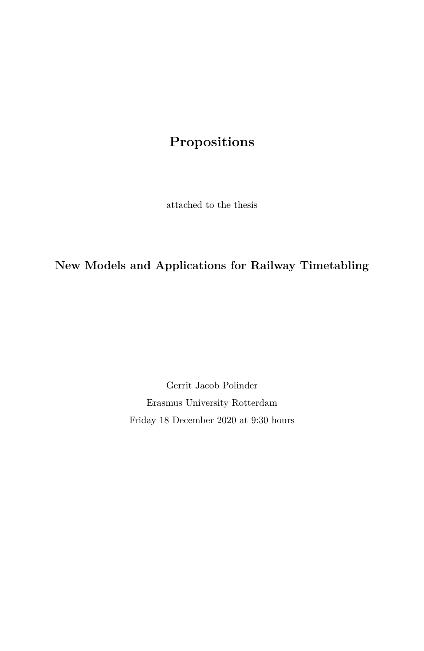# **Propositions**

attached to the thesis

**New Models and Applications for Railway Timetabling**

Gerrit Jacob Polinder Erasmus University Rotterdam Friday 18 December 2020 at 9:30 hours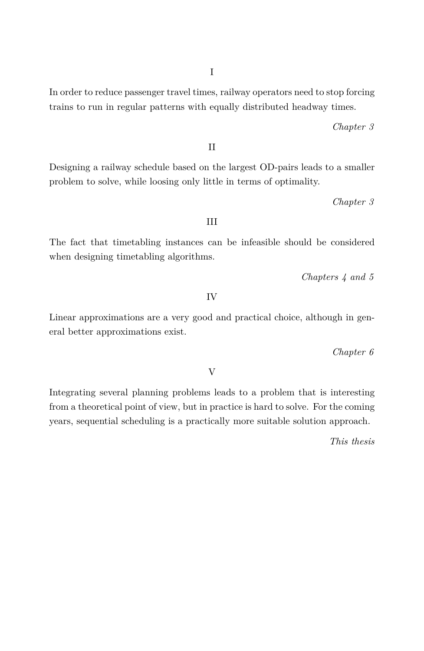I

In order to reduce passenger travel times, railway operators need to stop forcing trains to run in regular patterns with equally distributed headway times.

*Chapter 3*

II

Designing a railway schedule based on the largest OD-pairs leads to a smaller problem to solve, while loosing only little in terms of optimality.

*Chapter 3*

#### III

The fact that timetabling instances can be infeasible should be considered when designing timetabling algorithms.

*Chapters 4 and 5*

IV

Linear approximations are a very good and practical choice, although in general better approximations exist.

*Chapter 6*

V

Integrating several planning problems leads to a problem that is interesting from a theoretical point of view, but in practice is hard to solve. For the coming years, sequential scheduling is a practically more suitable solution approach.

*This thesis*